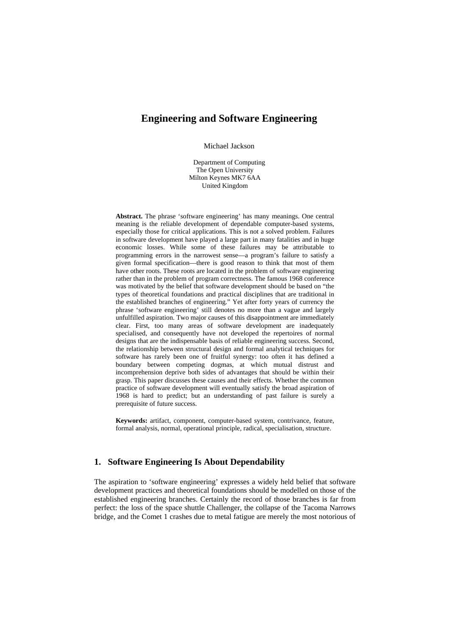# **Engineering and Software Engineering**

Michael Jackson

Department of Computing The Open University Milton Keynes MK7 6AA United Kingdom

**Abstract.** The phrase 'software engineering' has many meanings. One central meaning is the reliable development of dependable computer-based systems, especially those for critical applications. This is not a solved problem. Failures in software development have played a large part in many fatalities and in huge economic losses. While some of these failures may be attributable to programming errors in the narrowest sense—a program's failure to satisfy a given formal specification—there is good reason to think that most of them have other roots. These roots are located in the problem of software engineering rather than in the problem of program correctness. The famous 1968 conference was motivated by the belief that software development should be based on "the types of theoretical foundations and practical disciplines that are traditional in the established branches of engineering." Yet after forty years of currency the phrase 'software engineering' still denotes no more than a vague and largely unfulfilled aspiration. Two major causes of this disappointment are immediately clear. First, too many areas of software development are inadequately specialised, and consequently have not developed the repertoires of normal designs that are the indispensable basis of reliable engineering success. Second, the relationship between structural design and formal analytical techniques for software has rarely been one of fruitful synergy: too often it has defined a boundary between competing dogmas, at which mutual distrust and incomprehension deprive both sides of advantages that should be within their grasp. This paper discusses these causes and their effects. Whether the common practice of software development will eventually satisfy the broad aspiration of 1968 is hard to predict; but an understanding of past failure is surely a prerequisite of future success.

**Keywords:** artifact, component, computer-based system, contrivance, feature, formal analysis, normal, operational principle, radical, specialisation, structure.

## **1. Software Engineering Is About Dependability**

The aspiration to 'software engineering' expresses a widely held belief that software development practices and theoretical foundations should be modelled on those of the established engineering branches. Certainly the record of those branches is far from perfect: the loss of the space shuttle Challenger, the collapse of the Tacoma Narrows bridge, and the Comet 1 crashes due to metal fatigue are merely the most notorious of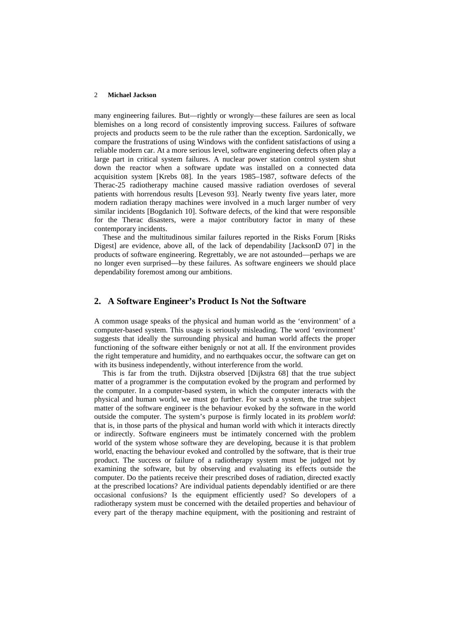many engineering failures. But—rightly or wrongly—these failures are seen as local blemishes on a long record of consistently improving success. Failures of software projects and products seem to be the rule rather than the exception. Sardonically, we compare the frustrations of using Windows with the confident satisfactions of using a reliable modern car. At a more serious level, software engineering defects often play a large part in critical system failures. A nuclear power station control system shut down the reactor when a software update was installed on a connected data acquisition system [Krebs 08]. In the years 1985–1987, software defects of the Therac-25 radiotherapy machine caused massive radiation overdoses of several patients with horrendous results [Leveson 93]. Nearly twenty five years later, more modern radiation therapy machines were involved in a much larger number of very similar incidents [Bogdanich 10]. Software defects, of the kind that were responsible for the Therac disasters, were a major contributory factor in many of these contemporary incidents.

These and the multitudinous similar failures reported in the Risks Forum [Risks Digest] are evidence, above all, of the lack of dependability [JacksonD 07] in the products of software engineering. Regrettably, we are not astounded—perhaps we are no longer even surprised—by these failures. As software engineers we should place dependability foremost among our ambitions.

## **2. A Software Engineer's Product Is Not the Software**

A common usage speaks of the physical and human world as the 'environment' of a computer-based system. This usage is seriously misleading. The word 'environment' suggests that ideally the surrounding physical and human world affects the proper functioning of the software either benignly or not at all. If the environment provides the right temperature and humidity, and no earthquakes occur, the software can get on with its business independently, without interference from the world.

This is far from the truth. Dijkstra observed [Dijkstra 68] that the true subject matter of a programmer is the computation evoked by the program and performed by the computer. In a computer-based system, in which the computer interacts with the physical and human world, we must go further. For such a system, the true subject matter of the software engineer is the behaviour evoked by the software in the world outside the computer. The system's purpose is firmly located in its *problem world*: that is, in those parts of the physical and human world with which it interacts directly or indirectly. Software engineers must be intimately concerned with the problem world of the system whose software they are developing, because it is that problem world, enacting the behaviour evoked and controlled by the software, that is their true product. The success or failure of a radiotherapy system must be judged not by examining the software, but by observing and evaluating its effects outside the computer. Do the patients receive their prescribed doses of radiation, directed exactly at the prescribed locations? Are individual patients dependably identified or are there occasional confusions? Is the equipment efficiently used? So developers of a radiotherapy system must be concerned with the detailed properties and behaviour of every part of the therapy machine equipment, with the positioning and restraint of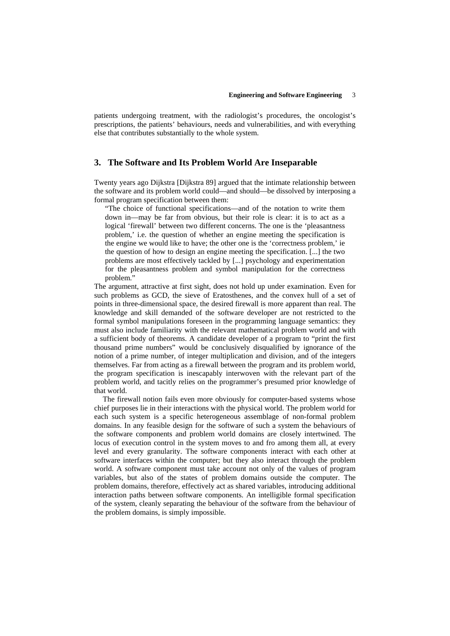patients undergoing treatment, with the radiologist's procedures, the oncologist's prescriptions, the patients' behaviours, needs and vulnerabilities, and with everything else that contributes substantially to the whole system.

## **3. The Software and Its Problem World Are Inseparable**

Twenty years ago Dijkstra [Dijkstra 89] argued that the intimate relationship between the software and its problem world could—and should—be dissolved by interposing a formal program specification between them:

"The choice of functional specifications—and of the notation to write them down in—may be far from obvious, but their role is clear: it is to act as a logical 'firewall' between two different concerns. The one is the 'pleasantness problem,' i.e. the question of whether an engine meeting the specification is the engine we would like to have; the other one is the 'correctness problem,' ie the question of how to design an engine meeting the specification. [...] the two problems are most effectively tackled by [...] psychology and experimentation for the pleasantness problem and symbol manipulation for the correctness problem."

The argument, attractive at first sight, does not hold up under examination. Even for such problems as GCD, the sieve of Eratosthenes, and the convex hull of a set of points in three-dimensional space, the desired firewall is more apparent than real. The knowledge and skill demanded of the software developer are not restricted to the formal symbol manipulations foreseen in the programming language semantics: they must also include familiarity with the relevant mathematical problem world and with a sufficient body of theorems. A candidate developer of a program to "print the first thousand prime numbers" would be conclusively disqualified by ignorance of the notion of a prime number, of integer multiplication and division, and of the integers themselves. Far from acting as a firewall between the program and its problem world, the program specification is inescapably interwoven with the relevant part of the problem world, and tacitly relies on the programmer's presumed prior knowledge of that world.

The firewall notion fails even more obviously for computer-based systems whose chief purposes lie in their interactions with the physical world. The problem world for each such system is a specific heterogeneous assemblage of non-formal problem domains. In any feasible design for the software of such a system the behaviours of the software components and problem world domains are closely intertwined. The locus of execution control in the system moves to and fro among them all, at every level and every granularity. The software components interact with each other at software interfaces within the computer; but they also interact through the problem world. A software component must take account not only of the values of program variables, but also of the states of problem domains outside the computer. The problem domains, therefore, effectively act as shared variables, introducing additional interaction paths between software components. An intelligible formal specification of the system, cleanly separating the behaviour of the software from the behaviour of the problem domains, is simply impossible.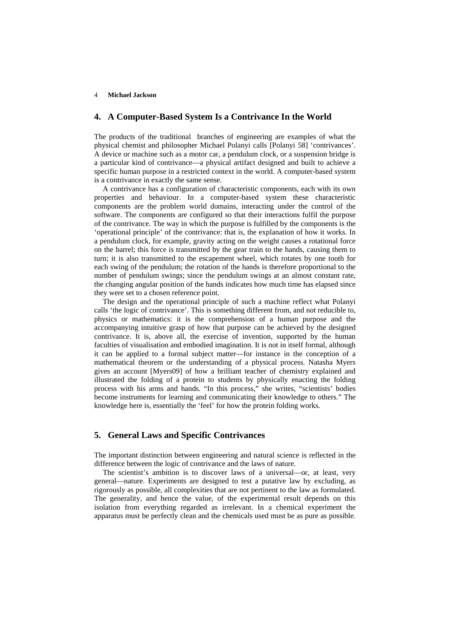### **4. A Computer-Based System Is a Contrivance In the World**

The products of the traditional branches of engineering are examples of what the physical chemist and philosopher Michael Polanyi calls [Polanyi 58] 'contrivances'. A device or machine such as a motor car, a pendulum clock, or a suspension bridge is a particular kind of contrivance—a physical artifact designed and built to achieve a specific human purpose in a restricted context in the world. A computer-based system is a contrivance in exactly the same sense.

A contrivance has a configuration of characteristic components, each with its own properties and behaviour. In a computer-based system these characteristic components are the problem world domains, interacting under the control of the software. The components are configured so that their interactions fulfil the purpose of the contrivance. The way in which the purpose is fulfilled by the components is the 'operational principle' of the contrivance: that is, the explanation of how it works. In a pendulum clock, for example, gravity acting on the weight causes a rotational force on the barrel; this force is transmitted by the gear train to the hands, causing them to turn; it is also transmitted to the escapement wheel, which rotates by one tooth for each swing of the pendulum; the rotation of the hands is therefore proportional to the number of pendulum swings; since the pendulum swings at an almost constant rate, the changing angular position of the hands indicates how much time has elapsed since they were set to a chosen reference point.

The design and the operational principle of such a machine reflect what Polanyi calls 'the logic of contrivance'. This is something different from, and not reducible to, physics or mathematics: it is the comprehension of a human purpose and the accompanying intuitive grasp of how that purpose can be achieved by the designed contrivance. It is, above all, the exercise of invention, supported by the human faculties of visualisation and embodied imagination. It is not in itself formal, although it can be applied to a formal subject matter—for instance in the conception of a mathematical theorem or the understanding of a physical process. Natasha Myers gives an account [Myers09] of how a brilliant teacher of chemistry explained and illustrated the folding of a protein to students by physically enacting the folding process with his arms and hands. "In this process," she writes, "scientists' bodies become instruments for learning and communicating their knowledge to others." The knowledge here is, essentially the 'feel' for how the protein folding works.

## **5. General Laws and Specific Contrivances**

The important distinction between engineering and natural science is reflected in the difference between the logic of contrivance and the laws of nature.

The scientist's ambition is to discover laws of a universal—or, at least, very general—nature. Experiments are designed to test a putative law by excluding, as rigorously as possible, all complexities that are not pertinent to the law as formulated. The generality, and hence the value, of the experimental result depends on this isolation from everything regarded as irrelevant. In a chemical experiment the apparatus must be perfectly clean and the chemicals used must be as pure as possible.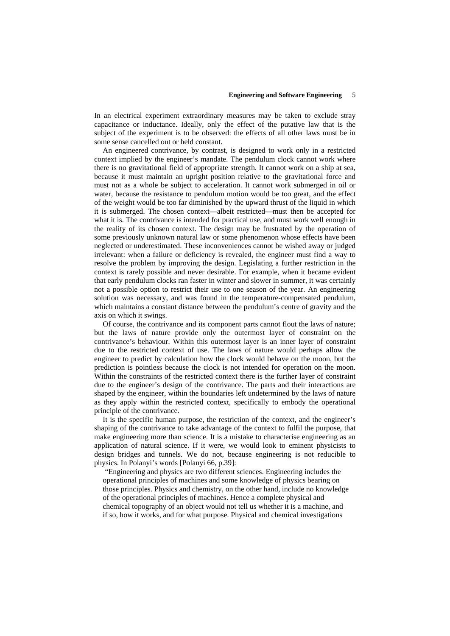In an electrical experiment extraordinary measures may be taken to exclude stray capacitance or inductance. Ideally, only the effect of the putative law that is the subject of the experiment is to be observed: the effects of all other laws must be in some sense cancelled out or held constant.

An engineered contrivance, by contrast, is designed to work only in a restricted context implied by the engineer's mandate. The pendulum clock cannot work where there is no gravitational field of appropriate strength. It cannot work on a ship at sea, because it must maintain an upright position relative to the gravitational force and must not as a whole be subject to acceleration. It cannot work submerged in oil or water, because the resistance to pendulum motion would be too great, and the effect of the weight would be too far diminished by the upward thrust of the liquid in which it is submerged. The chosen context—albeit restricted—must then be accepted for what it is. The contrivance is intended for practical use, and must work well enough in the reality of its chosen context. The design may be frustrated by the operation of some previously unknown natural law or some phenomenon whose effects have been neglected or underestimated. These inconveniences cannot be wished away or judged irrelevant: when a failure or deficiency is revealed, the engineer must find a way to resolve the problem by improving the design. Legislating a further restriction in the context is rarely possible and never desirable. For example, when it became evident that early pendulum clocks ran faster in winter and slower in summer, it was certainly not a possible option to restrict their use to one season of the year. An engineering solution was necessary, and was found in the temperature-compensated pendulum, which maintains a constant distance between the pendulum's centre of gravity and the axis on which it swings.

Of course, the contrivance and its component parts cannot flout the laws of nature; but the laws of nature provide only the outermost layer of constraint on the contrivance's behaviour. Within this outermost layer is an inner layer of constraint due to the restricted context of use. The laws of nature would perhaps allow the engineer to predict by calculation how the clock would behave on the moon, but the prediction is pointless because the clock is not intended for operation on the moon. Within the constraints of the restricted context there is the further layer of constraint due to the engineer's design of the contrivance. The parts and their interactions are shaped by the engineer, within the boundaries left undetermined by the laws of nature as they apply within the restricted context, specifically to embody the operational principle of the contrivance.

It is the specific human purpose, the restriction of the context, and the engineer's shaping of the contrivance to take advantage of the context to fulfil the purpose, that make engineering more than science. It is a mistake to characterise engineering as an application of natural science. If it were, we would look to eminent physicists to design bridges and tunnels. We do not, because engineering is not reducible to physics. In Polanyi's words [Polanyi 66, p.39]:

"Engineering and physics are two different sciences. Engineering includes the operational principles of machines and some knowledge of physics bearing on those principles. Physics and chemistry, on the other hand, include no knowledge of the operational principles of machines. Hence a complete physical and chemical topography of an object would not tell us whether it is a machine, and if so, how it works, and for what purpose. Physical and chemical investigations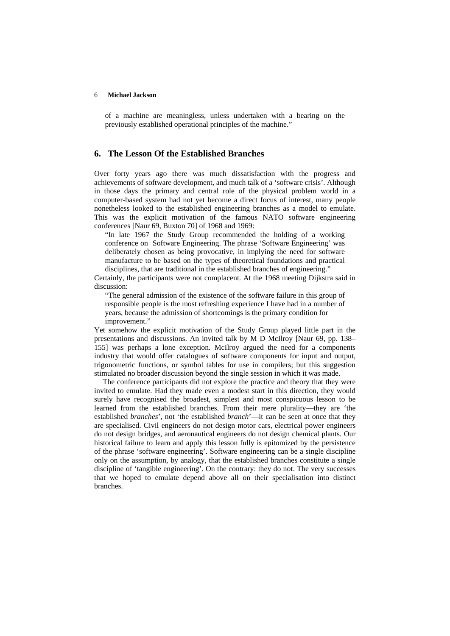of a machine are meaningless, unless undertaken with a bearing on the previously established operational principles of the machine."

## **6. The Lesson Of the Established Branches**

Over forty years ago there was much dissatisfaction with the progress and achievements of software development, and much talk of a 'software crisis'. Although in those days the primary and central role of the physical problem world in a computer-based system had not yet become a direct focus of interest, many people nonetheless looked to the established engineering branches as a model to emulate. This was the explicit motivation of the famous NATO software engineering conferences [Naur 69, Buxton 70] of 1968 and 1969:

"In late 1967 the Study Group recommended the holding of a working conference on Software Engineering. The phrase 'Software Engineering' was deliberately chosen as being provocative, in implying the need for software manufacture to be based on the types of theoretical foundations and practical disciplines, that are traditional in the established branches of engineering."

Certainly, the participants were not complacent. At the 1968 meeting Dijkstra said in discussion:

"The general admission of the existence of the software failure in this group of responsible people is the most refreshing experience I have had in a number of years, because the admission of shortcomings is the primary condition for improvement."

Yet somehow the explicit motivation of the Study Group played little part in the presentations and discussions. An invited talk by M D McIlroy [Naur 69, pp. 138– 155] was perhaps a lone exception. McIlroy argued the need for a components industry that would offer catalogues of software components for input and output, trigonometric functions, or symbol tables for use in compilers; but this suggestion stimulated no broader discussion beyond the single session in which it was made.

The conference participants did not explore the practice and theory that they were invited to emulate. Had they made even a modest start in this direction, they would surely have recognised the broadest, simplest and most conspicuous lesson to be learned from the established branches. From their mere plurality—they are 'the established *branches*', not 'the established *branch*'—it can be seen at once that they are specialised. Civil engineers do not design motor cars, electrical power engineers do not design bridges, and aeronautical engineers do not design chemical plants. Our historical failure to learn and apply this lesson fully is epitomized by the persistence of the phrase 'software engineering'. Software engineering can be a single discipline only on the assumption, by analogy, that the established branches constitute a single discipline of 'tangible engineering'. On the contrary: they do not. The very successes that we hoped to emulate depend above all on their specialisation into distinct branches.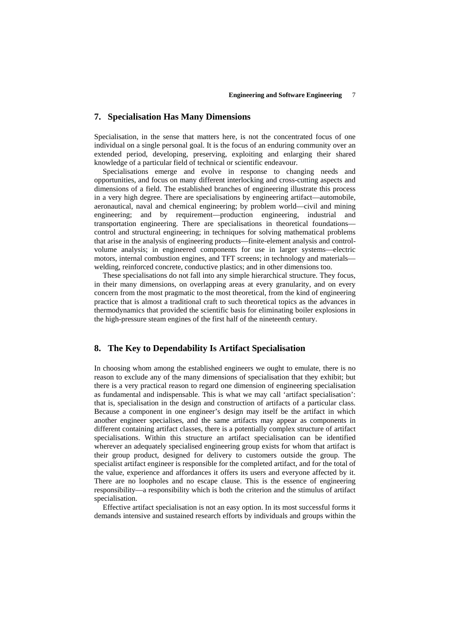## **7. Specialisation Has Many Dimensions**

Specialisation, in the sense that matters here, is not the concentrated focus of one individual on a single personal goal. It is the focus of an enduring community over an extended period, developing, preserving, exploiting and enlarging their shared knowledge of a particular field of technical or scientific endeavour.

Specialisations emerge and evolve in response to changing needs and opportunities, and focus on many different interlocking and cross-cutting aspects and dimensions of a field. The established branches of engineering illustrate this process in a very high degree. There are specialisations by engineering artifact—automobile, aeronautical, naval and chemical engineering; by problem world—civil and mining engineering; and by requirement—production engineering, industrial and transportation engineering. There are specialisations in theoretical foundations control and structural engineering; in techniques for solving mathematical problems that arise in the analysis of engineering products—finite-element analysis and controlvolume analysis; in engineered components for use in larger systems—electric motors, internal combustion engines, and TFT screens; in technology and materials welding, reinforced concrete, conductive plastics; and in other dimensions too.

These specialisations do not fall into any simple hierarchical structure. They focus, in their many dimensions, on overlapping areas at every granularity, and on every concern from the most pragmatic to the most theoretical, from the kind of engineering practice that is almost a traditional craft to such theoretical topics as the advances in thermodynamics that provided the scientific basis for eliminating boiler explosions in the high-pressure steam engines of the first half of the nineteenth century.

## **8. The Key to Dependability Is Artifact Specialisation**

In choosing whom among the established engineers we ought to emulate, there is no reason to exclude any of the many dimensions of specialisation that they exhibit; but there is a very practical reason to regard one dimension of engineering specialisation as fundamental and indispensable. This is what we may call 'artifact specialisation': that is, specialisation in the design and construction of artifacts of a particular class. Because a component in one engineer's design may itself be the artifact in which another engineer specialises, and the same artifacts may appear as components in different containing artifact classes, there is a potentially complex structure of artifact specialisations. Within this structure an artifact specialisation can be identified wherever an adequately specialised engineering group exists for whom that artifact is their group product, designed for delivery to customers outside the group. The specialist artifact engineer is responsible for the completed artifact, and for the total of the value, experience and affordances it offers its users and everyone affected by it. There are no loopholes and no escape clause. This is the essence of engineering responsibility—a responsibility which is both the criterion and the stimulus of artifact specialisation.

Effective artifact specialisation is not an easy option. In its most successful forms it demands intensive and sustained research efforts by individuals and groups within the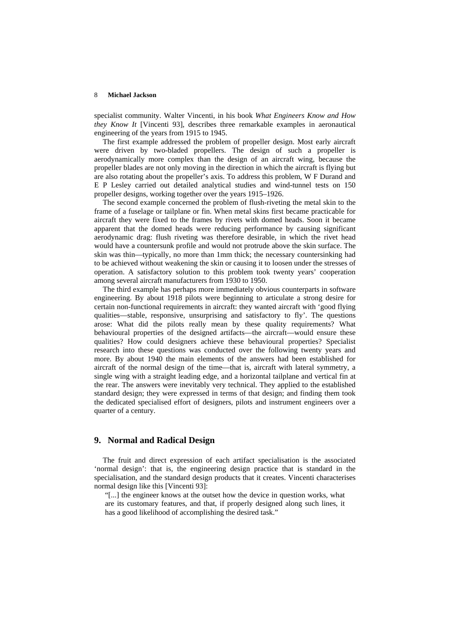specialist community. Walter Vincenti, in his book *What Engineers Know and How they Know It* [Vincenti 93], describes three remarkable examples in aeronautical engineering of the years from 1915 to 1945.

The first example addressed the problem of propeller design. Most early aircraft were driven by two-bladed propellers. The design of such a propeller is aerodynamically more complex than the design of an aircraft wing, because the propeller blades are not only moving in the direction in which the aircraft is flying but are also rotating about the propeller's axis. To address this problem, W F Durand and E P Lesley carried out detailed analytical studies and wind-tunnel tests on 150 propeller designs, working together over the years 1915–1926.

The second example concerned the problem of flush-riveting the metal skin to the frame of a fuselage or tailplane or fin. When metal skins first became practicable for aircraft they were fixed to the frames by rivets with domed heads. Soon it became apparent that the domed heads were reducing performance by causing significant aerodynamic drag: flush riveting was therefore desirable, in which the rivet head would have a countersunk profile and would not protrude above the skin surface. The skin was thin—typically, no more than 1mm thick; the necessary countersinking had to be achieved without weakening the skin or causing it to loosen under the stresses of operation. A satisfactory solution to this problem took twenty years' cooperation among several aircraft manufacturers from 1930 to 1950.

The third example has perhaps more immediately obvious counterparts in software engineering. By about 1918 pilots were beginning to articulate a strong desire for certain non-functional requirements in aircraft: they wanted aircraft with 'good flying qualities—stable, responsive, unsurprising and satisfactory to fly'. The questions arose: What did the pilots really mean by these quality requirements? What behavioural properties of the designed artifacts—the aircraft—would ensure these qualities? How could designers achieve these behavioural properties? Specialist research into these questions was conducted over the following twenty years and more. By about 1940 the main elements of the answers had been established for aircraft of the normal design of the time—that is, aircraft with lateral symmetry, a single wing with a straight leading edge, and a horizontal tailplane and vertical fin at the rear. The answers were inevitably very technical. They applied to the established standard design; they were expressed in terms of that design; and finding them took the dedicated specialised effort of designers, pilots and instrument engineers over a quarter of a century.

## **9. Normal and Radical Design**

The fruit and direct expression of each artifact specialisation is the associated 'normal design': that is, the engineering design practice that is standard in the specialisation, and the standard design products that it creates. Vincenti characterises normal design like this [Vincenti 93]:

"[...] the engineer knows at the outset how the device in question works, what are its customary features, and that, if properly designed along such lines, it has a good likelihood of accomplishing the desired task."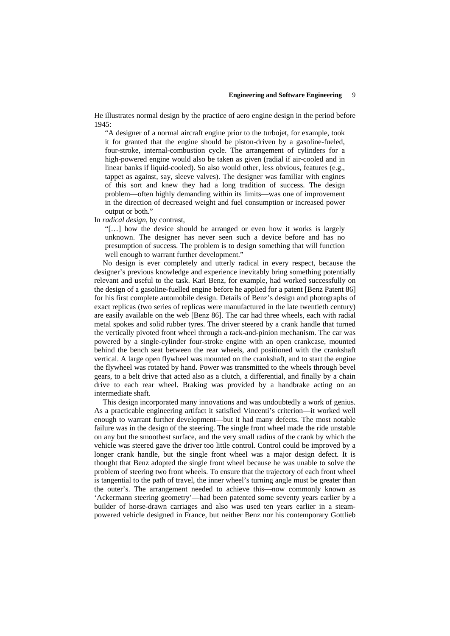He illustrates normal design by the practice of aero engine design in the period before 1945:

"A designer of a normal aircraft engine prior to the turbojet, for example, took it for granted that the engine should be piston-driven by a gasoline-fueled, four-stroke, internal-combustion cycle. The arrangement of cylinders for a high-powered engine would also be taken as given (radial if air-cooled and in linear banks if liquid-cooled). So also would other, less obvious, features (e.g., tappet as against, say, sleeve valves). The designer was familiar with engines of this sort and knew they had a long tradition of success. The design problem—often highly demanding within its limits—was one of improvement in the direction of decreased weight and fuel consumption or increased power output or both."

In *radical design*, by contrast,

"[…] how the device should be arranged or even how it works is largely unknown. The designer has never seen such a device before and has no presumption of success. The problem is to design something that will function well enough to warrant further development."

No design is ever completely and utterly radical in every respect, because the designer's previous knowledge and experience inevitably bring something potentially relevant and useful to the task. Karl Benz, for example, had worked successfully on the design of a gasoline-fuelled engine before he applied for a patent [Benz Patent 86] for his first complete automobile design. Details of Benz's design and photographs of exact replicas (two series of replicas were manufactured in the late twentieth century) are easily available on the web [Benz 86]. The car had three wheels, each with radial metal spokes and solid rubber tyres. The driver steered by a crank handle that turned the vertically pivoted front wheel through a rack-and-pinion mechanism. The car was powered by a single-cylinder four-stroke engine with an open crankcase, mounted behind the bench seat between the rear wheels, and positioned with the crankshaft vertical. A large open flywheel was mounted on the crankshaft, and to start the engine the flywheel was rotated by hand. Power was transmitted to the wheels through bevel gears, to a belt drive that acted also as a clutch, a differential, and finally by a chain drive to each rear wheel. Braking was provided by a handbrake acting on an intermediate shaft.

This design incorporated many innovations and was undoubtedly a work of genius. As a practicable engineering artifact it satisfied Vincenti's criterion—it worked well enough to warrant further development—but it had many defects. The most notable failure was in the design of the steering. The single front wheel made the ride unstable on any but the smoothest surface, and the very small radius of the crank by which the vehicle was steered gave the driver too little control. Control could be improved by a longer crank handle, but the single front wheel was a major design defect. It is thought that Benz adopted the single front wheel because he was unable to solve the problem of steering two front wheels. To ensure that the trajectory of each front wheel is tangential to the path of travel, the inner wheel's turning angle must be greater than the outer's. The arrangement needed to achieve this—now commonly known as 'Ackermann steering geometry'—had been patented some seventy years earlier by a builder of horse-drawn carriages and also was used ten years earlier in a steampowered vehicle designed in France, but neither Benz nor his contemporary Gottlieb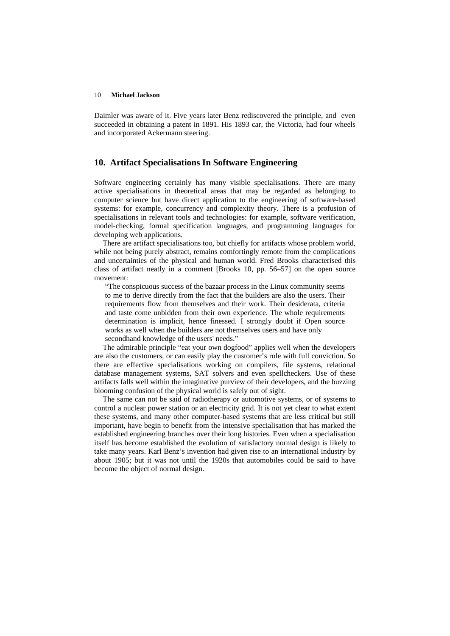Daimler was aware of it. Five years later Benz rediscovered the principle, and even succeeded in obtaining a patent in 1891. His 1893 car, the Victoria, had four wheels and incorporated Ackermann steering.

### **10. Artifact Specialisations In Software Engineering**

Software engineering certainly has many visible specialisations. There are many active specialisations in theoretical areas that may be regarded as belonging to computer science but have direct application to the engineering of software-based systems: for example, concurrency and complexity theory. There is a profusion of specialisations in relevant tools and technologies: for example, software verification, model-checking, formal specification languages, and programming languages for developing web applications.

There are artifact specialisations too, but chiefly for artifacts whose problem world, while not being purely abstract, remains comfortingly remote from the complications and uncertainties of the physical and human world. Fred Brooks characterised this class of artifact neatly in a comment [Brooks 10, pp. 56–57] on the open source movement:

"The conspicuous success of the bazaar process in the Linux community seems to me to derive directly from the fact that the builders are also the users. Their requirements flow from themselves and their work. Their desiderata, criteria and taste come unbidden from their own experience. The whole requirements determination is implicit, hence finessed. I strongly doubt if Open source works as well when the builders are not themselves users and have only secondhand knowledge of the users' needs."

The admirable principle "eat your own dogfood" applies well when the developers are also the customers, or can easily play the customer's role with full conviction. So there are effective specialisations working on compilers, file systems, relational database management systems, SAT solvers and even spellcheckers. Use of these artifacts falls well within the imaginative purview of their developers, and the buzzing blooming confusion of the physical world is safely out of sight.

The same can not be said of radiotherapy or automotive systems, or of systems to control a nuclear power station or an electricity grid. It is not yet clear to what extent these systems, and many other computer-based systems that are less critical but still important, have begin to benefit from the intensive specialisation that has marked the established engineering branches over their long histories. Even when a specialisation itself has become established the evolution of satisfactory normal design is likely to take many years. Karl Benz's invention had given rise to an international industry by about 1905; but it was not until the 1920s that automobiles could be said to have become the object of normal design.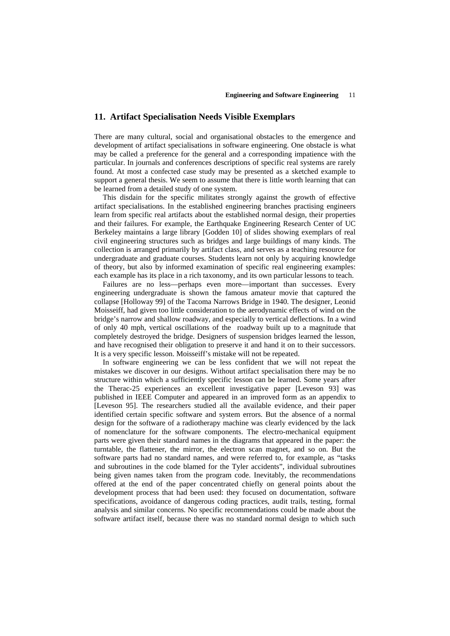### **11. Artifact Specialisation Needs Visible Exemplars**

There are many cultural, social and organisational obstacles to the emergence and development of artifact specialisations in software engineering. One obstacle is what may be called a preference for the general and a corresponding impatience with the particular. In journals and conferences descriptions of specific real systems are rarely found. At most a confected case study may be presented as a sketched example to support a general thesis. We seem to assume that there is little worth learning that can be learned from a detailed study of one system.

This disdain for the specific militates strongly against the growth of effective artifact specialisations. In the established engineering branches practising engineers learn from specific real artifacts about the established normal design, their properties and their failures. For example, the Earthquake Engineering Research Center of UC Berkeley maintains a large library [Godden 10] of slides showing exemplars of real civil engineering structures such as bridges and large buildings of many kinds. The collection is arranged primarily by artifact class, and serves as a teaching resource for undergraduate and graduate courses. Students learn not only by acquiring knowledge of theory, but also by informed examination of specific real engineering examples: each example has its place in a rich taxonomy, and its own particular lessons to teach.

Failures are no less—perhaps even more—important than successes. Every engineering undergraduate is shown the famous amateur movie that captured the collapse [Holloway 99] of the Tacoma Narrows Bridge in 1940. The designer, Leonid Moisseiff, had given too little consideration to the aerodynamic effects of wind on the bridge's narrow and shallow roadway, and especially to vertical deflections. In a wind of only 40 mph, vertical oscillations of the roadway built up to a magnitude that completely destroyed the bridge. Designers of suspension bridges learned the lesson, and have recognised their obligation to preserve it and hand it on to their successors. It is a very specific lesson. Moisseiff's mistake will not be repeated.

In software engineering we can be less confident that we will not repeat the mistakes we discover in our designs. Without artifact specialisation there may be no structure within which a sufficiently specific lesson can be learned. Some years after the Therac-25 experiences an excellent investigative paper [Leveson 93] was published in IEEE Computer and appeared in an improved form as an appendix to [Leveson 95]. The researchers studied all the available evidence, and their paper identified certain specific software and system errors. But the absence of a normal design for the software of a radiotherapy machine was clearly evidenced by the lack of nomenclature for the software components. The electro-mechanical equipment parts were given their standard names in the diagrams that appeared in the paper: the turntable, the flattener, the mirror, the electron scan magnet, and so on. But the software parts had no standard names, and were referred to, for example, as "tasks and subroutines in the code blamed for the Tyler accidents", individual subroutines being given names taken from the program code. Inevitably, the recommendations offered at the end of the paper concentrated chiefly on general points about the development process that had been used: they focused on documentation, software specifications, avoidance of dangerous coding practices, audit trails, testing, formal analysis and similar concerns. No specific recommendations could be made about the software artifact itself, because there was no standard normal design to which such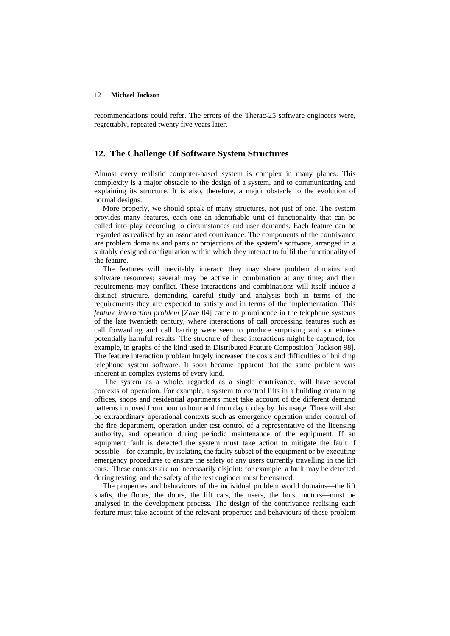recommendations could refer. The errors of the Therac-25 software engineers were, regrettably, repeated twenty five years later.

### **12. The Challenge Of Software System Structures**

Almost every realistic computer-based system is complex in many planes. This complexity is a major obstacle to the design of a system, and to communicating and explaining its structure. It is also, therefore, a major obstacle to the evolution of normal designs.

More properly, we should speak of many structures, not just of one. The system provides many features, each one an identifiable unit of functionality that can be called into play according to circumstances and user demands. Each feature can be regarded as realised by an associated contrivance. The components of the contrivance are problem domains and parts or projections of the system's software, arranged in a suitably designed configuration within which they interact to fulfil the functionality of the feature.

The features will inevitably interact: they may share problem domains and software resources; several may be active in combination at any time; and their requirements may conflict. These interactions and combinations will itself induce a distinct structure, demanding careful study and analysis both in terms of the requirements they are expected to satisfy and in terms of the implementation. This *feature interaction problem* [Zave 04] came to prominence in the telephone systems of the late twentieth century, where interactions of call processing features such as call forwarding and call barring were seen to produce surprising and sometimes potentially harmful results. The structure of these interactions might be captured, for example, in graphs of the kind used in Distributed Feature Composition [Jackson 98]. The feature interaction problem hugely increased the costs and difficulties of building telephone system software. It soon became apparent that the same problem was inherent in complex systems of every kind.

 The system as a whole, regarded as a single contrivance, will have several contexts of operation. For example, a system to control lifts in a building containing offices, shops and residential apartments must take account of the different demand patterns imposed from hour to hour and from day to day by this usage. There will also be extraordinary operational contexts such as emergency operation under control of the fire department, operation under test control of a representative of the licensing authority, and operation during periodic maintenance of the equipment. If an equipment fault is detected the system must take action to mitigate the fault if possible—for example, by isolating the faulty subset of the equipment or by executing emergency procedures to ensure the safety of any users currently travelling in the lift cars. These contexts are not necessarily disjoint: for example, a fault may be detected during testing, and the safety of the test engineer must be ensured.

The properties and behaviours of the individual problem world domains—the lift shafts, the floors, the doors, the lift cars, the users, the hoist motors—must be analysed in the development process. The design of the contrivance realising each feature must take account of the relevant properties and behaviours of those problem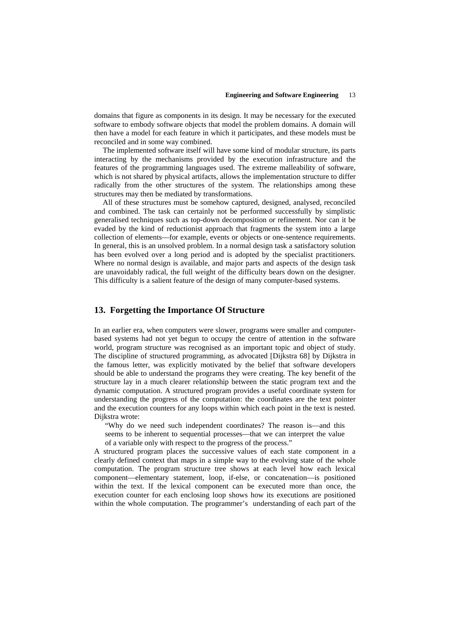domains that figure as components in its design. It may be necessary for the executed software to embody software objects that model the problem domains. A domain will then have a model for each feature in which it participates, and these models must be reconciled and in some way combined.

The implemented software itself will have some kind of modular structure, its parts interacting by the mechanisms provided by the execution infrastructure and the features of the programming languages used. The extreme malleability of software, which is not shared by physical artifacts, allows the implementation structure to differ radically from the other structures of the system. The relationships among these structures may then be mediated by transformations.

All of these structures must be somehow captured, designed, analysed, reconciled and combined. The task can certainly not be performed successfully by simplistic generalised techniques such as top-down decomposition or refinement. Nor can it be evaded by the kind of reductionist approach that fragments the system into a large collection of elements—for example, events or objects or one-sentence requirements. In general, this is an unsolved problem. In a normal design task a satisfactory solution has been evolved over a long period and is adopted by the specialist practitioners. Where no normal design is available, and major parts and aspects of the design task are unavoidably radical, the full weight of the difficulty bears down on the designer. This difficulty is a salient feature of the design of many computer-based systems.

### **13. Forgetting the Importance Of Structure**

In an earlier era, when computers were slower, programs were smaller and computerbased systems had not yet begun to occupy the centre of attention in the software world, program structure was recognised as an important topic and object of study. The discipline of structured programming, as advocated [Dijkstra 68] by Dijkstra in the famous letter, was explicitly motivated by the belief that software developers should be able to understand the programs they were creating. The key benefit of the structure lay in a much clearer relationship between the static program text and the dynamic computation. A structured program provides a useful coordinate system for understanding the progress of the computation: the coordinates are the text pointer and the execution counters for any loops within which each point in the text is nested. Dijkstra wrote:

"Why do we need such independent coordinates? The reason is—and this seems to be inherent to sequential processes—that we can interpret the value of a variable only with respect to the progress of the process."

A structured program places the successive values of each state component in a clearly defined context that maps in a simple way to the evolving state of the whole computation. The program structure tree shows at each level how each lexical component—elementary statement, loop, if-else, or concatenation—is positioned within the text. If the lexical component can be executed more than once, the execution counter for each enclosing loop shows how its executions are positioned within the whole computation. The programmer's understanding of each part of the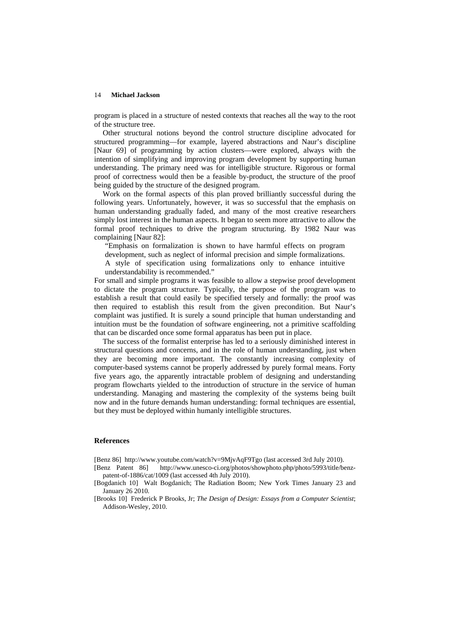program is placed in a structure of nested contexts that reaches all the way to the root of the structure tree.

Other structural notions beyond the control structure discipline advocated for structured programming—for example, layered abstractions and Naur's discipline [Naur 69] of programming by action clusters—were explored, always with the intention of simplifying and improving program development by supporting human understanding. The primary need was for intelligible structure. Rigorous or formal proof of correctness would then be a feasible by-product, the structure of the proof being guided by the structure of the designed program.

Work on the formal aspects of this plan proved brilliantly successful during the following years. Unfortunately, however, it was so successful that the emphasis on human understanding gradually faded, and many of the most creative researchers simply lost interest in the human aspects. It began to seem more attractive to allow the formal proof techniques to drive the program structuring. By 1982 Naur was complaining [Naur 82]:

"Emphasis on formalization is shown to have harmful effects on program development, such as neglect of informal precision and simple formalizations. A style of specification using formalizations only to enhance intuitive understandability is recommended."

For small and simple programs it was feasible to allow a stepwise proof development to dictate the program structure. Typically, the purpose of the program was to establish a result that could easily be specified tersely and formally: the proof was then required to establish this result from the given precondition. But Naur's complaint was justified. It is surely a sound principle that human understanding and intuition must be the foundation of software engineering, not a primitive scaffolding that can be discarded once some formal apparatus has been put in place.

The success of the formalist enterprise has led to a seriously diminished interest in structural questions and concerns, and in the role of human understanding, just when they are becoming more important. The constantly increasing complexity of computer-based systems cannot be properly addressed by purely formal means. Forty five years ago, the apparently intractable problem of designing and understanding program flowcharts yielded to the introduction of structure in the service of human understanding. Managing and mastering the complexity of the systems being built now and in the future demands human understanding: formal techniques are essential, but they must be deployed within humanly intelligible structures.

### **References**

[Benz 86] http://www.youtube.com/watch?v=9MjvAqF9Tgo (last accessed 3rd July 2010).

[Benz Patent 86] http://www.unesco-ci.org/photos/showphoto.php/photo/5993/title/benzpatent-of-1886/cat/1009 (last accessed 4th July 2010).

[Bogdanich 10] Walt Bogdanich; The Radiation Boom; New York Times January 23 and January 26 2010.

<sup>[</sup>Brooks 10] Frederick P Brooks, Jr; *The Design of Design: Essays from a Computer Scientist*; Addison-Wesley, 2010.